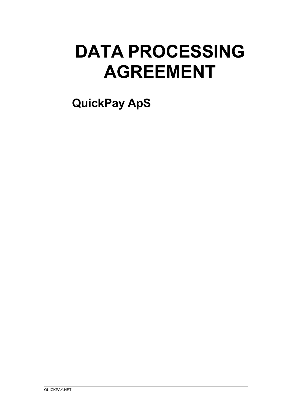# **DATA PROCESSING AGREEMENT**

# **QuickPay ApS**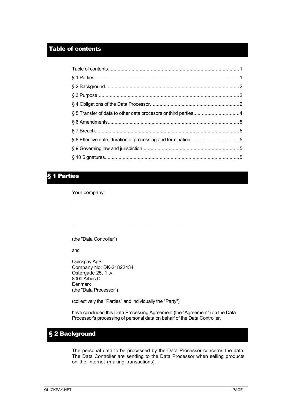#### Table of contents

## § 1 Parties

Your company:

(the "Data Controller")

and

Quickpay ApS Company No: DK-21822434 Ostergade 25, **1** tv. 8000 Arhus C Denmark (the "Data Processor")

(collectively the "Parties" and individually the "Party")

 $\mathcal{L}_\text{max}$  and the contract of the contract of the contract of the contract of the contract of the contract of

 $\mathcal{L}_\text{max}$  and  $\mathcal{L}_\text{max}$  and  $\mathcal{L}_\text{max}$  and  $\mathcal{L}_\text{max}$  and  $\mathcal{L}_\text{max}$  and  $\mathcal{L}_\text{max}$ 

have concluded this Data Processing Agreement (the "Agreement") on the Data Processor's processing of personal data on behalf of the Data Controller.

# § 2 Background

The personal data to be processed by the Data Processor concerns the data The Data Controller are sending to the Data Processor when selling products on the Internet (making transactions).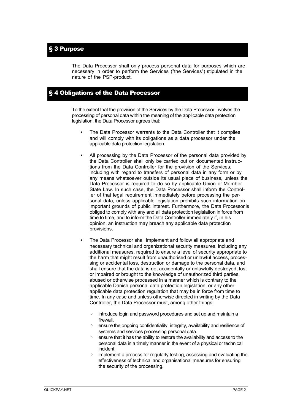The Data Processor shall only process personal data for purposes which are necessary in order to perform the Services ("the Services") stipulated in the nature of the PSP-product.

#### § 4 Obligations of the Data Processor

To the extent that the provision of the Services by the Data Processor involves the processing of personal data within the meaning of the applicable data protection legislation, the Data Processor agrees that:

- The Data Processor warrants to the Data Controller that it complies and will comply with its obligations as a data processor under the applicable data protection legislation.
- All processing by the Data Processor of the personal data provided by the Data Controller shall only be carried out on documented instructions from the Data Controller for the provision of the Services, including with regard to transfers of personal data in any form or by any means whatsoever outside its usual place of business, unless the Data Processor is required to do so by applicable Union or Member State Law. In such case, the Data Processor shall inform the Controller of that legal requirement immediately before processing the personal data, unless applicable legislation prohibits such information on important grounds of public interest. Furthermore, the Data Processor is obliged to comply with any and all data protection legislation in force from time to time, and to inform the Data Controller immediately if, in his opinion, an instruction may breach any applicable data protection provisions.
- The Data Processor shall implement and follow all appropriate and necessary technical and organizational security measures, including any additional measures, required to ensure a level of security appropriate to the harm that might result from unauthorised or unlawful access, processing or accidental loss, destruction or damage to the personal data, and shall ensure that the data is not accidentally or unlawfully destroyed, lost or impaired or brought to the knowledge of unauthorized third parties, abused or otherwise processed in a manner which is contrary to the applicable Danish personal data protection legislation, or any other applicable data protection regulation that may be in force from time to time. In any case and unless otherwise directed in writing by the Data Controller, the Data Processor must, among other things:
	- introduce login and password procedures and set up and maintain a firewall.
	- ensure the ongoing confidentiality, integrity, availability and resilience of systems and services processing personal data.
	- ensure that it has the ability to restore the availability and access to the personal data in a timely manner in the event of a physical or technical incident.
	- implement a process for regularly testing, assessing and evaluating the effectiveness of technical and organisational measures for ensuring the security of the processing.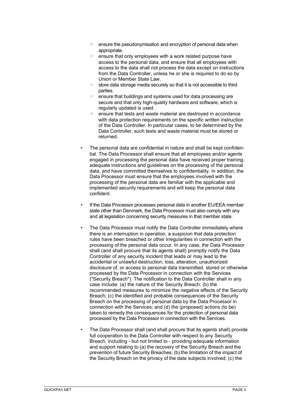- ensure the pseudonymisation and encryption of personal data when appropriate.
- ensure that only employees with a work related purpose have access to the personal data, and ensure that all employees with access to the data shall not process the data except on instructions from the Data Controller, unless he or she is required to do so by Union or Member State Law.
- store data storage media securely so that it is not accessible to third parties.
- ensure that buildings and systems used for data processing are secure and that only high-quality hardware and software, which is regularly updated is used.
- ensure that tests and waste material are destroyed in accordance with data protection requirements on the specific written instruction of the Data Controller. In particular cases, to be determined by the Data Controller, such tests and waste material must be stored or returned.
- The personal data are confidential in nature and shall be kept confidential. The Data Processor shall ensure that all employees and/or agents engaged in processing the personal data have received proper training, adequate instructions and guidelines on the processing of the personal data, and have committed themselves to confidentiality. In addition, the Data Processor must ensure that the employees involved with the processing of the personal data are familiar with the applicable and implemented security requirements and will keep the personal data confident.
- If the Data Processor processes personal data in another EU/EEA member state other than Denmark, the Data Processor must also comply with any and all legislation concerning security measures in that member state.
- The Data Processor must notify the Data Controller immediately where there is an interruption in operation, a suspicion that data protection rules have been breached or other irregularities in connection with the processing of the personal data occur. In any case, the Data Processor shall (and shall procure that its agents shall) promptly notify the Data Controller of any security incident that leads or may lead to the accidental or unlawful destruction, loss, alteration, unauthorized disclosure of, or access to personal data transmitted, stored or otherwise processed by the Data Processor in connection with the Services ("Security Breach"). The notification to the Data Controller shall in any case include: (a) the nature of the Security Breach; (b) the recommended measures to minimize the negative effects of the Security Breach; (c) the identified and probable consequences of the Security Breach on the processing of personal data by the Data Processor in connection with the Services; and (d) the (proposed) actions (to be) taken to remedy the consequences for the protection of personal data processed by the Data Processor in connection with the Services.
- The Data Processor shall (and shall procure that its agents shall) provide full cooperation to the Data Controller with respect to any Security Breach, including - but not limited to - providing adequate information and support relating to (a) the recovery of the Security Breach and the prevention of future Security Breaches; (b) the limitation of the impact of the Security Breach on the privacy of the data subjects involved; (c) the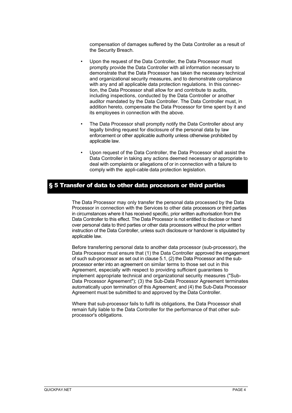compensation of damages suffered by the Data Controller as a result of the Security Breach.

- Upon the request of the Data Controller, the Data Processor must promptly provide the Data Controller with all information necessary to demonstrate that the Data Processor has taken the necessary technical and organizational security measures, and to demonstrate compliance with any and all applicable data protection regulations. In this connection, the Data Processor shall allow for and contribute to audits, including inspections, conducted by the Data Controller or another auditor mandated by the Data Controller. The Data Controller must, in addition hereto, compensate the Data Processor for time spent by it and its employees in connection with the above.
- The Data Processor shall promptly notify the Data Controller about any legally binding request for disclosure of the personal data by law enforcement or other applicable authority unless otherwise prohibited by applicable law.
- Upon request of the Data Controller, the Data Processor shall assist the Data Controller in taking any actions deemed necessary or appropriate to deal with complaints or allegations of or in connection with a failure to comply with the appli-cable data protection legislation.

#### § 5 Transfer of data to other data procesors or third parties

The Data Processor may only transfer the personal data processed by the Data Processor in connection with the Services to other data processors or third parties in circumstances where it has received specific, prior written authorisation from the Data Controller to this effect. The Data Processor is not entitled to disclose or hand over personal data to third parties or other data processors without the prior written instruction of the Data Controller, unless such disclosure or handover is stipulated by applicable law.

Before transferring personal data to another data processor (sub-processor), the Data Processor must ensure that (1) the Data Controller approved the engagement of such sub-processor as set out in clause 5.1, (2) the Data Processor and the subprocessor enter into an agreement on similar terms to those set out in this Agreement, especially with respect to providing sufficient guarantees to implement appropriate technical and organizational security measures ("Sub-Data Processor Agreement"); (3) the Sub-Data Processor Agreement terminates automatically upon termination of this Agreement; and (4) the Sub-Data Processor Agreement must be submitted to and approved by the Data Controller.

Where that sub-processor fails to fulfil its obligations, the Data Processor shall remain fully liable to the Data Controller for the performance of that other subprocessor's obligations.